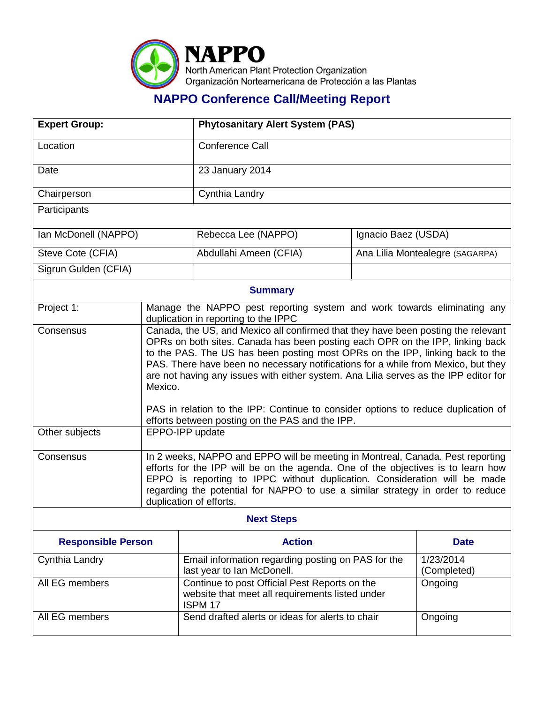

## **NAPPO Conference Call/Meeting Report**

| <b>Expert Group:</b>      |                                                                                                                                                                                                                                                                                                                                                                                                                                                                                                                                                                                     | <b>Phytosanitary Alert System (PAS)</b>                                                                                |                                 |                          |
|---------------------------|-------------------------------------------------------------------------------------------------------------------------------------------------------------------------------------------------------------------------------------------------------------------------------------------------------------------------------------------------------------------------------------------------------------------------------------------------------------------------------------------------------------------------------------------------------------------------------------|------------------------------------------------------------------------------------------------------------------------|---------------------------------|--------------------------|
| Location                  |                                                                                                                                                                                                                                                                                                                                                                                                                                                                                                                                                                                     | Conference Call                                                                                                        |                                 |                          |
| Date                      |                                                                                                                                                                                                                                                                                                                                                                                                                                                                                                                                                                                     | 23 January 2014                                                                                                        |                                 |                          |
| Chairperson               |                                                                                                                                                                                                                                                                                                                                                                                                                                                                                                                                                                                     | Cynthia Landry                                                                                                         |                                 |                          |
| Participants              |                                                                                                                                                                                                                                                                                                                                                                                                                                                                                                                                                                                     |                                                                                                                        |                                 |                          |
| Ian McDonell (NAPPO)      |                                                                                                                                                                                                                                                                                                                                                                                                                                                                                                                                                                                     | Rebecca Lee (NAPPO)                                                                                                    | Ignacio Baez (USDA)             |                          |
| Steve Cote (CFIA)         |                                                                                                                                                                                                                                                                                                                                                                                                                                                                                                                                                                                     | Abdullahi Ameen (CFIA)                                                                                                 | Ana Lilia Montealegre (SAGARPA) |                          |
| Sigrun Gulden (CFIA)      |                                                                                                                                                                                                                                                                                                                                                                                                                                                                                                                                                                                     |                                                                                                                        |                                 |                          |
| <b>Summary</b>            |                                                                                                                                                                                                                                                                                                                                                                                                                                                                                                                                                                                     |                                                                                                                        |                                 |                          |
| Project 1:                | Manage the NAPPO pest reporting system and work towards eliminating any<br>duplication in reporting to the IPPC                                                                                                                                                                                                                                                                                                                                                                                                                                                                     |                                                                                                                        |                                 |                          |
| Consensus                 | Canada, the US, and Mexico all confirmed that they have been posting the relevant<br>OPRs on both sites. Canada has been posting each OPR on the IPP, linking back<br>to the PAS. The US has been posting most OPRs on the IPP, linking back to the<br>PAS. There have been no necessary notifications for a while from Mexico, but they<br>are not having any issues with either system. Ana Lilia serves as the IPP editor for<br>Mexico.<br>PAS in relation to the IPP: Continue to consider options to reduce duplication of<br>efforts between posting on the PAS and the IPP. |                                                                                                                        |                                 |                          |
| Other subjects            | EPPO-IPP update                                                                                                                                                                                                                                                                                                                                                                                                                                                                                                                                                                     |                                                                                                                        |                                 |                          |
| Consensus                 | In 2 weeks, NAPPO and EPPO will be meeting in Montreal, Canada. Pest reporting<br>efforts for the IPP will be on the agenda. One of the objectives is to learn how<br>EPPO is reporting to IPPC without duplication. Consideration will be made<br>regarding the potential for NAPPO to use a similar strategy in order to reduce<br>duplication of efforts.                                                                                                                                                                                                                        |                                                                                                                        |                                 |                          |
| <b>Next Steps</b>         |                                                                                                                                                                                                                                                                                                                                                                                                                                                                                                                                                                                     |                                                                                                                        |                                 |                          |
| <b>Responsible Person</b> |                                                                                                                                                                                                                                                                                                                                                                                                                                                                                                                                                                                     | <b>Action</b>                                                                                                          |                                 | <b>Date</b>              |
| Cynthia Landry            |                                                                                                                                                                                                                                                                                                                                                                                                                                                                                                                                                                                     | Email information regarding posting on PAS for the<br>last year to Ian McDonell.                                       |                                 | 1/23/2014<br>(Completed) |
| All EG members            |                                                                                                                                                                                                                                                                                                                                                                                                                                                                                                                                                                                     | Continue to post Official Pest Reports on the<br>website that meet all requirements listed under<br>ISPM <sub>17</sub> |                                 | Ongoing                  |
| All EG members            |                                                                                                                                                                                                                                                                                                                                                                                                                                                                                                                                                                                     | Send drafted alerts or ideas for alerts to chair                                                                       |                                 | Ongoing                  |